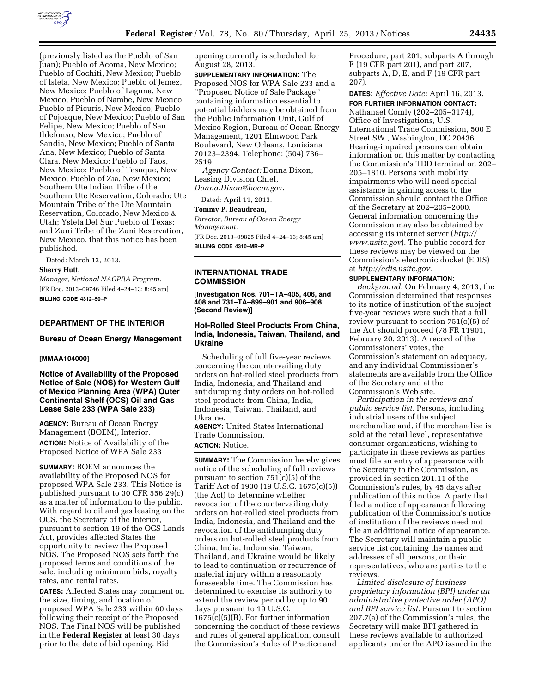

(previously listed as the Pueblo of San Juan); Pueblo of Acoma, New Mexico; Pueblo of Cochiti, New Mexico; Pueblo of Isleta, New Mexico; Pueblo of Jemez, New Mexico; Pueblo of Laguna, New Mexico; Pueblo of Nambe, New Mexico; Pueblo of Picuris, New Mexico; Pueblo of Pojoaque, New Mexico; Pueblo of San Felipe, New Mexico; Pueblo of San Ildefonso, New Mexico; Pueblo of Sandia, New Mexico; Pueblo of Santa Ana, New Mexico; Pueblo of Santa Clara, New Mexico; Pueblo of Taos, New Mexico; Pueblo of Tesuque, New Mexico; Pueblo of Zia, New Mexico; Southern Ute Indian Tribe of the Southern Ute Reservation, Colorado; Ute Mountain Tribe of the Ute Mountain Reservation, Colorado, New Mexico & Utah; Ysleta Del Sur Pueblo of Texas; and Zuni Tribe of the Zuni Reservation, New Mexico, that this notice has been published.

Dated: March 13, 2013.

## **Sherry Hutt,**

*Manager, National NAGPRA Program.*  [FR Doc. 2013–09746 Filed 4–24–13; 8:45 am] **BILLING CODE 4312–50–P** 

## **DEPARTMENT OF THE INTERIOR**

#### **Bureau of Ocean Energy Management**

### **[MMAA104000]**

# **Notice of Availability of the Proposed Notice of Sale (NOS) for Western Gulf of Mexico Planning Area (WPA) Outer Continental Shelf (OCS) Oil and Gas Lease Sale 233 (WPA Sale 233)**

**AGENCY:** Bureau of Ocean Energy Management (BOEM), Interior. **ACTION:** Notice of Availability of the Proposed Notice of WPA Sale 233

**SUMMARY:** BOEM announces the availability of the Proposed NOS for proposed WPA Sale 233. This Notice is published pursuant to 30 CFR 556.29(c) as a matter of information to the public. With regard to oil and gas leasing on the OCS, the Secretary of the Interior, pursuant to section 19 of the OCS Lands Act, provides affected States the opportunity to review the Proposed NOS. The Proposed NOS sets forth the proposed terms and conditions of the sale, including minimum bids, royalty rates, and rental rates.

**DATES:** Affected States may comment on the size, timing, and location of proposed WPA Sale 233 within 60 days following their receipt of the Proposed NOS. The Final NOS will be published in the **Federal Register** at least 30 days prior to the date of bid opening. Bid

opening currently is scheduled for August 28, 2013.

**SUPPLEMENTARY INFORMATION:** The Proposed NOS for WPA Sale 233 and a ''Proposed Notice of Sale Package'' containing information essential to potential bidders may be obtained from the Public Information Unit, Gulf of Mexico Region, Bureau of Ocean Energy Management, 1201 Elmwood Park Boulevard, New Orleans, Louisiana 70123–2394. Telephone: (504) 736– 2519.

*Agency Contact:* Donna Dixon, Leasing Division Chief,

*[Donna.Dixon@boem.gov](mailto:Donna.Dixon@boem.gov)*.

Dated: April 11, 2013.

#### **Tommy P. Beaudreau,**

*Director, Bureau of Ocean Energy Management.* 

[FR Doc. 2013–09825 Filed 4–24–13; 8:45 am] **BILLING CODE 4310–MR–P** 

**INTERNATIONAL TRADE COMMISSION** 

**[Investigation Nos. 701–TA–405, 406, and 408 and 731–TA–899–901 and 906–908 (Second Review)]** 

# **Hot-Rolled Steel Products From China, India, Indonesia, Taiwan, Thailand, and Ukraine**

Scheduling of full five-year reviews concerning the countervailing duty orders on hot-rolled steel products from India, Indonesia, and Thailand and antidumping duty orders on hot-rolled steel products from China, India, Indonesia, Taiwan, Thailand, and Ukraine.

**AGENCY:** United States International Trade Commission.

## **ACTION:** Notice.

**SUMMARY:** The Commission hereby gives notice of the scheduling of full reviews pursuant to section 751(c)(5) of the Tariff Act of 1930 (19 U.S.C. 1675(c)(5)) (the Act) to determine whether revocation of the countervailing duty orders on hot-rolled steel products from India, Indonesia, and Thailand and the revocation of the antidumping duty orders on hot-rolled steel products from China, India, Indonesia, Taiwan, Thailand, and Ukraine would be likely to lead to continuation or recurrence of material injury within a reasonably foreseeable time. The Commission has determined to exercise its authority to extend the review period by up to 90 days pursuant to 19 U.S.C. 1675(c)(5)(B). For further information concerning the conduct of these reviews and rules of general application, consult the Commission's Rules of Practice and

Procedure, part 201, subparts A through E (19 CFR part 201), and part 207, subparts A, D, E, and F (19 CFR part 207).

# **DATES:** *Effective Date:* April 16, 2013. **FOR FURTHER INFORMATION CONTACT:**

Nathanael Comly (202–205–3174), Office of Investigations, U.S. International Trade Commission, 500 E Street SW., Washington, DC 20436. Hearing-impaired persons can obtain information on this matter by contacting the Commission's TDD terminal on 202– 205–1810. Persons with mobility impairments who will need special assistance in gaining access to the Commission should contact the Office of the Secretary at 202–205–2000. General information concerning the Commission may also be obtained by accessing its internet server (*[http://](http://www.usitc.gov)  [www.usitc.gov](http://www.usitc.gov)*). The public record for these reviews may be viewed on the Commission's electronic docket (EDIS) at *[http://edis.usitc.gov.](http://edis.usitc.gov)* 

#### **SUPPLEMENTARY INFORMATION:**

*Background.* On February 4, 2013, the Commission determined that responses to its notice of institution of the subject five-year reviews were such that a full review pursuant to section 751(c)(5) of the Act should proceed (78 FR 11901, February 20, 2013). A record of the Commissioners' votes, the Commission's statement on adequacy, and any individual Commissioner's statements are available from the Office of the Secretary and at the Commission's Web site.

*Participation in the reviews and public service list.* Persons, including industrial users of the subject merchandise and, if the merchandise is sold at the retail level, representative consumer organizations, wishing to participate in these reviews as parties must file an entry of appearance with the Secretary to the Commission, as provided in section 201.11 of the Commission's rules, by 45 days after publication of this notice. A party that filed a notice of appearance following publication of the Commission's notice of institution of the reviews need not file an additional notice of appearance. The Secretary will maintain a public service list containing the names and addresses of all persons, or their representatives, who are parties to the reviews.

*Limited disclosure of business proprietary information (BPI) under an administrative protective order (APO) and BPI service list.* Pursuant to section 207.7(a) of the Commission's rules, the Secretary will make BPI gathered in these reviews available to authorized applicants under the APO issued in the